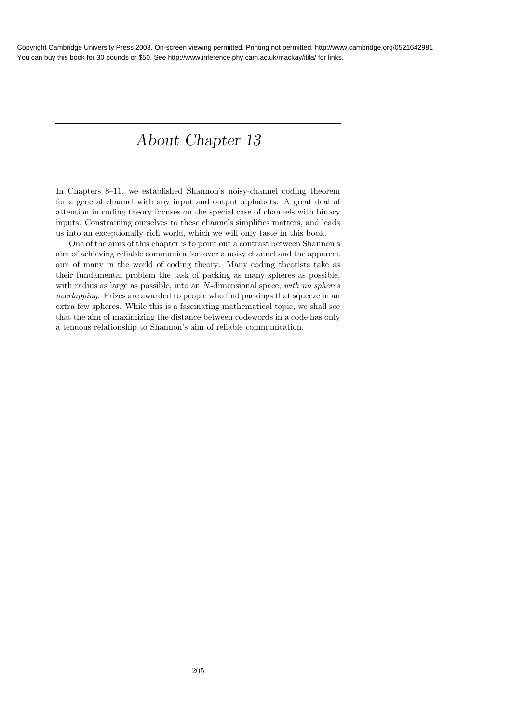# About Chapter 13

In Chapters 8–11, we established Shannon's noisy-channel coding theorem for a general channel with any input and output alphabets. A great deal of attention in coding theory focuses on the special case of channels with binary inputs. Constraining ourselves to these channels simplifies matters, and leads us into an exceptionally rich world, which we will only taste in this book.

One of the aims of this chapter is to point out a contrast between Shannon's aim of achieving reliable communication over a noisy channel and the apparent aim of many in the world of coding theory. Many coding theorists take as their fundamental problem the task of packing as many spheres as possible, with radius as large as possible, into an N-dimensional space, with no spheres overlapping. Prizes are awarded to people who find packings that squeeze in an extra few spheres. While this is a fascinating mathematical topic, we shall see that the aim of maximizing the distance between codewords in a code has only a tenuous relationship to Shannon's aim of reliable communication.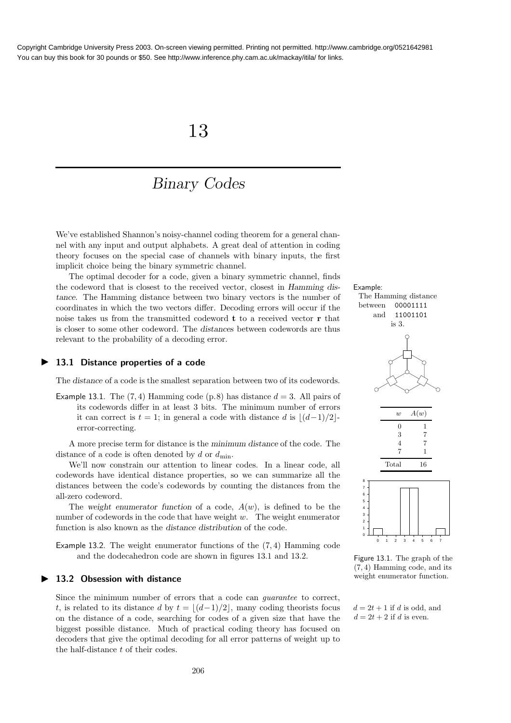# 13

# Binary Codes

We've established Shannon's noisy-channel coding theorem for a general channel with any input and output alphabets. A great deal of attention in coding theory focuses on the special case of channels with binary inputs, the first implicit choice being the binary symmetric channel.

The optimal decoder for a code, given a binary symmetric channel, finds the codeword that is closest to the received vector, closest in Hamming dis- Example: tance. The Hamming distance between two binary vectors is the number of coordinates in which the two vectors differ. Decoding errors will occur if the noise takes us from the transmitted codeword t to a received vector r that is closer to some other codeword. The distances between codewords are thus relevant to the probability of a decoding error.

▶ 13.1 Distance properties of a code

The distance of a code is the smallest separation between two of its codewords.

Example 13.1. The  $(7, 4)$  Hamming code  $(p.8)$  has distance  $d = 3$ . All pairs of its codewords differ in at least 3 bits. The minimum number of errors it can correct is  $t = 1$ ; in general a code with distance d is  $|(d-1)/2|$ error-correcting.

A more precise term for distance is the minimum distance of the code. The distance of a code is often denoted by d or  $d_{\min}$ .

We'll now constrain our attention to linear codes. In a linear code, all codewords have identical distance properties, so we can summarize all the distances between the code's codewords by counting the distances from the all-zero codeword.

The weight enumerator function of a code,  $A(w)$ , is defined to be the number of codewords in the code that have weight  $w$ . The weight enumerator function is also known as the distance distribution of the code.

Example 13.2. The weight enumerator functions of the  $(7, 4)$  Hamming code and the dodecahedron code are shown in figures 13.1 and 13.2.

#### ▶ 13.2 Obsession with distance

Since the minimum number of errors that a code can guarantee to correct, t, is related to its distance d by  $t = |(d-1)/2|$ , many coding theorists focus  $d = 2t + 1$  if d is odd, and on the distance of a code, searching for codes of a given size that have the  $d = 2t + 2$  if d is even. biggest possible distance. Much of practical coding theory has focused on decoders that give the optimal decoding for all error patterns of weight up to the half-distance t of their codes.





(7, 4) Hamming code, and its weight enumerator function.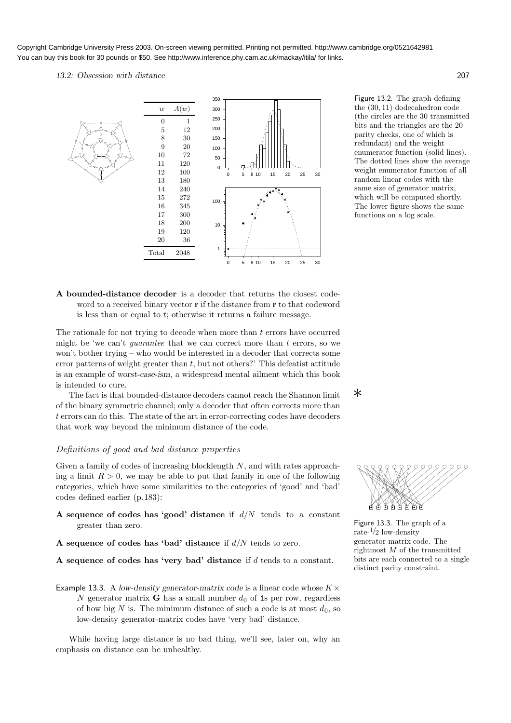#### 13.2: Obsession with distance 207



Figure 13.2. The graph defining the (30, 11) dodecahedron code (the circles are the 30 transmitted bits and the triangles are the 20 parity checks, one of which is redundant) and the weight enumerator function (solid lines). The dotted lines show the average weight enumerator function of all random linear codes with the same size of generator matrix, which will be computed shortly. The lower figure shows the same functions on a log scale.

A bounded-distance decoder is a decoder that returns the closest codeword to a received binary vector **r** if the distance from **r** to that codeword is less than or equal to  $t$ ; otherwise it returns a failure message.

The rationale for not trying to decode when more than  $t$  errors have occurred might be 'we can't *guarantee* that we can correct more than  $t$  errors, so we won't bother trying – who would be interested in a decoder that corrects some error patterns of weight greater than  $t$ , but not others?' This defeatist attitude is an example of worst-case-ism, a widespread mental ailment which this book is intended to cure.

The fact is that bounded-distance decoders cannot reach the Shannon limit  $*$ of the binary symmetric channel; only a decoder that often corrects more than t errors can do this. The state of the art in error-correcting codes have decoders that work way beyond the minimum distance of the code.

#### Definitions of good and bad distance properties

Given a family of codes of increasing blocklength  $N$ , and with rates approaching a limit  $R > 0$ , we may be able to put that family in one of the following categories, which have some similarities to the categories of 'good' and 'bad' codes defined earlier (p.183):

- A sequence of codes has 'good' distance if  $d/N$  tends to a constant greater than zero.
- A sequence of codes has 'bad' distance if  $d/N$  tends to zero.

A sequence of codes has 'very bad' distance if  $d$  tends to a constant.

Example 13.3. A low-density generator-matrix code is a linear code whose  $K \times$ N generator matrix **G** has a small number  $d_0$  of 1s per row, regardless of how big N is. The minimum distance of such a code is at most  $d_0$ , so low-density generator-matrix codes have 'very bad' distance.

While having large distance is no bad thing, we'll see, later on, why an emphasis on distance can be unhealthy.



Figure 13.3. The graph of a rate- $\frac{1}{2}$  low-density generator-matrix code. The rightmost  $M$  of the transmitted bits are each connected to a single distinct parity constraint.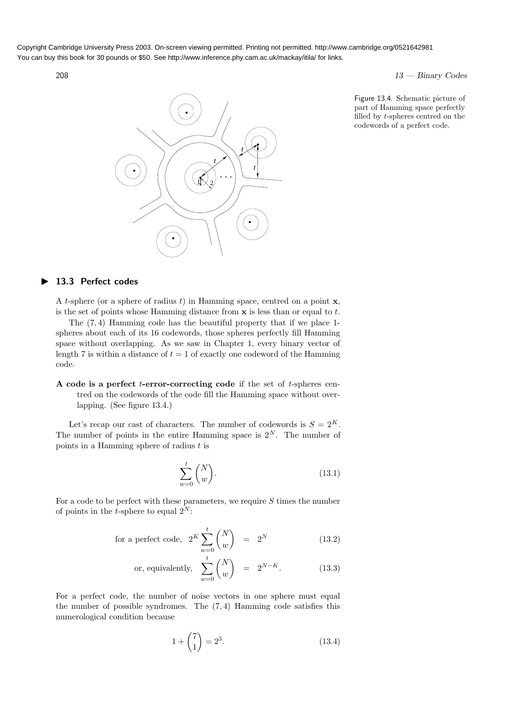$13$  — Binary Codes





Figure 13.4. Schematic picture of part of Hamming space perfectly filled by t-spheres centred on the codewords of a perfect code.

#### ▶ 13.3 Perfect codes

A t-sphere (or a sphere of radius t) in Hamming space, centred on a point  $x$ , is the set of points whose Hamming distance from  $x$  is less than or equal to  $t$ .

The (7, 4) Hamming code has the beautiful property that if we place 1 spheres about each of its 16 codewords, those spheres perfectly fill Hamming space without overlapping. As we saw in Chapter 1, every binary vector of length 7 is within a distance of  $t = 1$  of exactly one codeword of the Hamming code.

A code is a perfect  $t$ -error-correcting code if the set of  $t$ -spheres centred on the codewords of the code fill the Hamming space without overlapping. (See figure 13.4.)

Let's recap our cast of characters. The number of codewords is  $S = 2<sup>K</sup>$ . The number of points in the entire Hamming space is  $2^N$ . The number of points in a Hamming sphere of radius  $t$  is

$$
\sum_{w=0}^{t} \binom{N}{w}.\tag{13.1}
$$

For a code to be perfect with these parameters, we require  $S$  times the number of points in the *t*-sphere to equal  $2^N$ :

for a perfect code, 
$$
2^K \sum_{w=0}^{t} {N \choose w} = 2^N
$$
 (13.2)

or, equivalently, 
$$
\sum_{w=0}^{t} {N \choose w} = 2^{N-K}.
$$
 (13.3)

For a perfect code, the number of noise vectors in one sphere must equal the number of possible syndromes. The (7, 4) Hamming code satisfies this numerological condition because

$$
1 + \binom{7}{1} = 2^3. \tag{13.4}
$$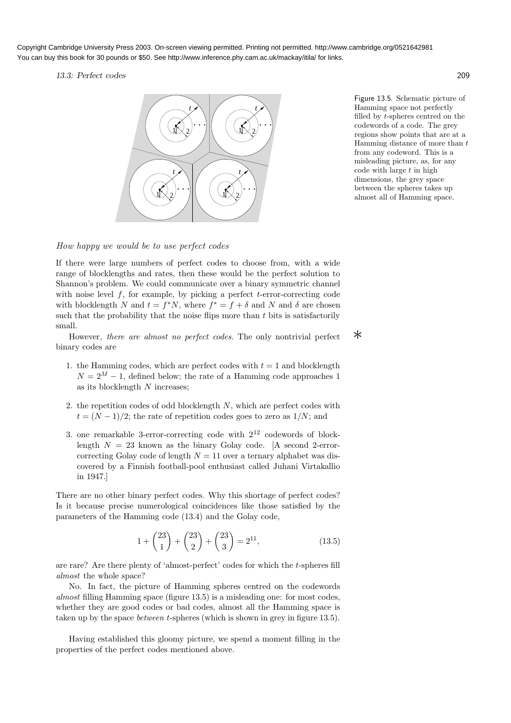13.3: Perfect codes 209



Figure 13.5. Schematic picture of Hamming space not perfectly filled by t-spheres centred on the codewords of a code. The grey regions show points that are at a Hamming distance of more than  $t$ from any codeword. This is a misleading picture, as, for any  $code$  with large  $t$  in high dimensions, the grey space between the spheres takes up almost all of Hamming space.

How happy we would be to use perfect codes

If there were large numbers of perfect codes to choose from, with a wide range of blocklengths and rates, then these would be the perfect solution to Shannon's problem. We could communicate over a binary symmetric channel with noise level  $f$ , for example, by picking a perfect  $t$ -error-correcting code with blocklength N and  $t = f^*N$ , where  $f^* = f + \delta$  and N and  $\delta$  are chosen such that the probability that the noise flips more than  $t$  bits is satisfactorily small.

However, there are almost no perfect codes. The only nontrivial perfect  $*$ binary codes are

- 1. the Hamming codes, which are perfect codes with  $t = 1$  and blocklength  $N = 2^M - 1$ , defined below; the rate of a Hamming code approaches 1 as its blocklength  $N$  increases;
- 2. the repetition codes of odd blocklength  $N$ , which are perfect codes with  $t = (N-1)/2$ ; the rate of repetition codes goes to zero as  $1/N$ ; and
- 3. one remarkable 3-error-correcting code with  $2^{12}$  codewords of blocklength  $N = 23$  known as the binary Golay code. [A second 2-errorcorrecting Golay code of length  $N = 11$  over a ternary alphabet was discovered by a Finnish football-pool enthusiast called Juhani Virtakallio in 1947.]

There are no other binary perfect codes. Why this shortage of perfect codes? Is it because precise numerological coincidences like those satisfied by the parameters of the Hamming code (13.4) and the Golay code,

$$
1 + \binom{23}{1} + \binom{23}{2} + \binom{23}{3} = 2^{11},\tag{13.5}
$$

are rare? Are there plenty of 'almost-perfect' codes for which the t-spheres fill almost the whole space?

No. In fact, the picture of Hamming spheres centred on the codewords almost filling Hamming space (figure 13.5) is a misleading one: for most codes, whether they are good codes or bad codes, almost all the Hamming space is taken up by the space *between t*-spheres (which is shown in grey in figure 13.5).

Having established this gloomy picture, we spend a moment filling in the properties of the perfect codes mentioned above.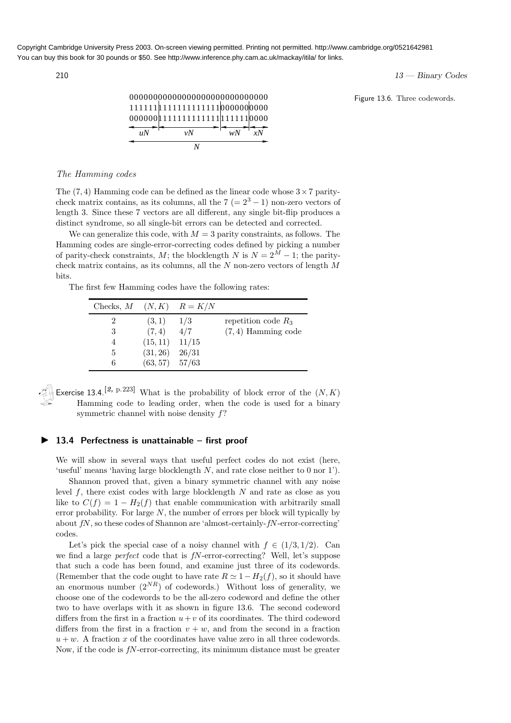

 $13 - \text{Binary Codes}$ 

Figure 13.6. Three codewords.

### The Hamming codes

The  $(7, 4)$  Hamming code can be defined as the linear code whose  $3 \times 7$  paritycheck matrix contains, as its columns, all the  $7 (= 2<sup>3</sup> - 1)$  non-zero vectors of length 3. Since these 7 vectors are all different, any single bit-flip produces a distinct syndrome, so all single-bit errors can be detected and corrected.

We can generalize this code, with  $M = 3$  parity constraints, as follows. The Hamming codes are single-error-correcting codes defined by picking a number of parity-check constraints, M; the blocklength N is  $N = 2^M - 1$ ; the paritycheck matrix contains, as its columns, all the  $N$  non-zero vectors of length  $M$ bits.

The first few Hamming codes have the following rates:

| Checks, $M$ $(N, K)$ $R = K/N$ |                    |       |                       |
|--------------------------------|--------------------|-------|-----------------------|
| 2                              | (3,1)              | 1/3   | repetition code $R_3$ |
| 3                              | (7, 4)             | 4/7   | $(7, 4)$ Hamming code |
| 4                              | $(15, 11)$ $11/15$ |       |                       |
| 5                              | (31, 26)           | 26/31 |                       |
| 6                              | $(63, 57)$ 57/63   |       |                       |

Exercise 13.4.<sup>[2, p.223]</sup> What is the probability of block error of the  $(N, K)$ Hamming code to leading order, when the code is used for a binary symmetric channel with noise density  $f$ ?

### $\blacktriangleright$  13.4 Perfectness is unattainable – first proof

We will show in several ways that useful perfect codes do not exist (here, 'useful' means 'having large blocklength  $N$ , and rate close neither to 0 nor 1').

Shannon proved that, given a binary symmetric channel with any noise level  $f$ , there exist codes with large blocklength  $N$  and rate as close as you like to  $C(f) = 1 - H_2(f)$  that enable communication with arbitrarily small error probability. For large  $N$ , the number of errors per block will typically by about  $fN$ , so these codes of Shannon are 'almost-certainly- $fN$ -error-correcting' codes.

Let's pick the special case of a noisy channel with  $f \in (1/3, 1/2)$ . Can we find a large *perfect* code that is  $fN$ -error-correcting? Well, let's suppose that such a code has been found, and examine just three of its codewords. (Remember that the code ought to have rate  $R \simeq 1 - H_2(f)$ , so it should have an enormous number  $(2^{NR})$  of codewords.) Without loss of generality, we choose one of the codewords to be the all-zero codeword and define the other two to have overlaps with it as shown in figure 13.6. The second codeword differs from the first in a fraction  $u+v$  of its coordinates. The third codeword differs from the first in a fraction  $v + w$ , and from the second in a fraction  $u + w$ . A fraction x of the coordinates have value zero in all three codewords. Now, if the code is fN-error-correcting, its minimum distance must be greater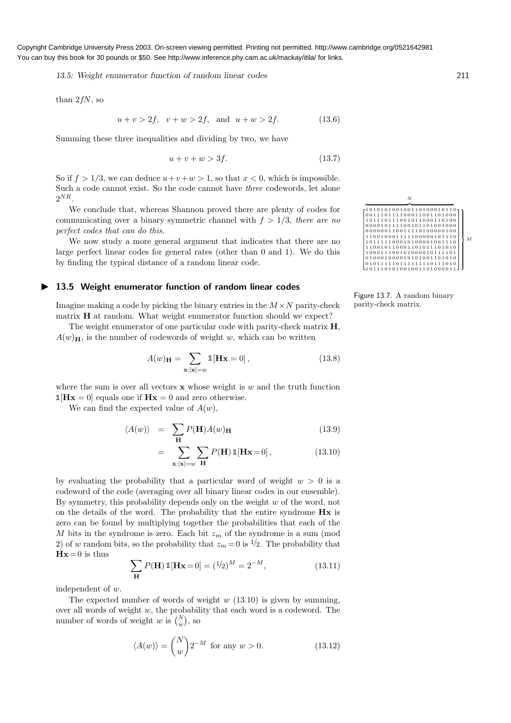13.5: Weight enumerator function of random linear codes 211

than  $2fN$ , so

$$
u + v > 2f, \ v + w > 2f, \text{ and } u + w > 2f.
$$
 (13.6)

Summing these three inequalities and dividing by two, we have

$$
u + v + w > 3f.
$$
\n
$$
(13.7)
$$

So if  $f > 1/3$ , we can deduce  $u+v+w > 1$ , so that  $x < 0$ , which is impossible. Such a code cannot exist. So the code cannot have three codewords, let alone  $2^{NR}$ .

We conclude that, whereas Shannon proved there are plenty of codes for communicating over a binary symmetric channel with  $f > 1/3$ , there are no perfect codes that can do this.

We now study a more general argument that indicates that there are no large perfect linear codes for general rates (other than 0 and 1). We do this by finding the typical distance of a random linear code.

## ▶ 13.5 Weight enumerator function of random linear codes

Imagine making a code by picking the binary entries in the  $M \times N$  parity-check matrix H at random. What weight enumerator function should we expect?

The weight enumerator of one particular code with parity-check matrix H,  $A(w)_{\mathbf{H}}$ , is the number of codewords of weight w, which can be written

$$
A(w)_{\mathbf{H}} = \sum_{\mathbf{x}:|\mathbf{x}|=w} \mathbb{1}[\mathbf{H}\mathbf{x}=0],
$$
\n(13.8)

where the sum is over all vectors  $x$  whose weight is w and the truth function  $\mathbb{1}[\mathbf{H}\mathbf{x} = 0]$  equals one if  $\mathbf{H}\mathbf{x} = 0$  and zero otherwise.

We can find the expected value of  $A(w)$ ,

$$
\langle A(w) \rangle = \sum_{\mathbf{H}} P(\mathbf{H}) A(w)_{\mathbf{H}} \tag{13.9}
$$

$$
= \sum_{\mathbf{x}:|\mathbf{x}|=w} \sum_{\mathbf{H}} P(\mathbf{H}) \, \mathbb{1}[\mathbf{H}\mathbf{x}=0], \tag{13.10}
$$

by evaluating the probability that a particular word of weight  $w > 0$  is a codeword of the code (averaging over all binary linear codes in our ensemble). By symmetry, this probability depends only on the weight  $w$  of the word, not on the details of the word. The probability that the entire syndrome  $\mathbf{H}\mathbf{x}$  is zero can be found by multiplying together the probabilities that each of the  $M$  bits in the syndrome is zero. Each bit  $z_m$  of the syndrome is a sum (mod 2) of w random bits, so the probability that  $z_m = 0$  is  $\frac{1}{2}$ . The probability that  $Hx=0$  is thus

$$
\sum_{\mathbf{H}} P(\mathbf{H}) \, \mathbb{1}[\mathbf{H}\mathbf{x} = 0] = (1/2)^M = 2^{-M},\tag{13.11}
$$

independent of w.

The expected number of words of weight  $w(13.10)$  is given by summing, over all words of weight  $w$ , the probability that each word is a codeword. The number of words of weight w is  $\binom{N}{w}$ , so

$$
\langle A(w) \rangle = \binom{N}{w} 2^{-M} \text{ for any } w > 0. \tag{13.12}
$$

N - 1 0 1 0 1 0 1 0 0 1 0 0 1 1 0 1 0 0 0 1 0 1 1 0 0 0 1 1 1 0 1 1 1 1 0 0 0 1 1 0 0 1 1 0 1 0 0 0 1 0 1 1 1 0 1 1 1 0 0 1 0 1 1 0 0 0 1 1 0 1 0 0 0 0 0 0 1 0 1 1 1 1 0 0 1 0 1 1 0 1 0 0 1 0 0 0  $\begin{bmatrix} 0 \\ 0 \\ 1 \end{bmatrix}$  $\begin{array}{l} 1\,1\,0\,0\,1\,0\,1\,1\,1\,0\,0\,0\,1\,1\,0\,0\,0\,1\,0\,1\,0\,1\,0\,0\,0\,0\,1\,0\,1\,0\,1\,0\,1\,0\,1\,0\,1\,1\,1\,0\,1\,0\,1\,0\,1\,0\,1\,0\,1\,0\,1\,0\,1\,0\,1\,0\,1\,0\,1\,0\,1\,0\,1\,0\,1\,0\,1\,0\,1\,0\,1\$  0 1 0 1 1 1 1 1 0 1 1 1 1 1 1 1 1 0 1 1 1 0 1 0 1 0 1 1 1 0 1 0 1 0 0 1 0 0 1 1 0 1 0 0 0 0 1 1 0 0 0 0 0 0 1 1 0 0 1 1 1 1 0 1 0 0 0 0 0 1 0 0 1 1 0 0 1 0 0 0 1 1 1 1 1 0 0 0 0 0 1 0 1 1 1 0 1 0 1 1 1 1 1 0 0 0 1 0 1 0 0 0 0 1 0 0 1 1 1 0 - -. . . . . . . . . . . . . . . . . .  $\mathbf{r}$ . . . . . . . .  $\blacksquare$  and the contract of the contract of and the contract of the contract of and the contract of the contract of and the contract of the contract of the contract of the contract of the contract of the contract of the contract of M and the contract of the contract of and the contract of the contract of and the contract of the contract of and the contract of the contract of and the contract of the contract of  $\mathbf{I}$ 

Figure 13.7. A random binary parity-check matrix.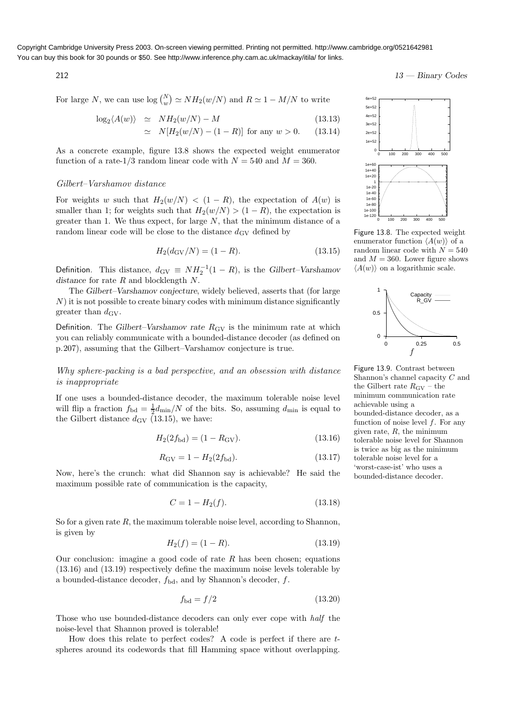For large N, we can use  $\log {N \choose w} \simeq NH_2(w/N)$  and  $R \simeq 1 - M/N$  to write

$$
\log_2\langle A(w)\rangle \simeq NH_2(w/N) - M \tag{13.13}
$$
  

$$
\simeq N[H_2(w/N) - (1 - R)] \text{ for any } w > 0. \tag{13.14}
$$

As a concrete example, figure 13.8 shows the expected weight enumerator function of a rate-1/3 random linear code with  $N = 540$  and  $M = 360$ .

#### Gilbert–Varshamov distance

For weights w such that  $H_2(w/N) < (1 - R)$ , the expectation of  $A(w)$  is smaller than 1; for weights such that  $H_2(w/N) > (1 - R)$ , the expectation is greater than 1. We thus expect, for large  $N$ , that the minimum distance of a random linear code will be close to the distance  $d_{\rm GV}$  defined by

$$
H_2(d_{\rm GV}/N) = (1 - R). \tag{13.15}
$$

Definition. This distance,  $d_{\text{GV}} \equiv NH_2^{-1}(1-R)$ , is the Gilbert-Varshamov distance for rate  $R$  and blocklength  $N$ .

The Gilbert–Varshamov conjecture, widely believed, asserts that (for large  $N$ ) it is not possible to create binary codes with minimum distance significantly greater than  $d_{\rm GV}$ .

Definition. The Gilbert–Varshamov rate  $R_{\rm GV}$  is the minimum rate at which you can reliably communicate with a bounded-distance decoder (as defined on p.207), assuming that the Gilbert–Varshamov conjecture is true.

Why sphere-packing is a bad perspective, and an obsession with distance is inappropriate

If one uses a bounded-distance decoder, the maximum tolerable noise level will flip a fraction  $f_{\text{bd}} = \frac{1}{2} d_{\text{min}}/N$  of the bits. So, assuming  $d_{\text{min}}$  is equal to the Gilbert distance  $d_{\rm GV}$  (13.15), we have:

$$
H_2(2f_{\text{bd}}) = (1 - R_{\text{GV}}). \tag{13.16}
$$

$$
R_{\rm GV} = 1 - H_2(2f_{\rm bd}).\tag{13.17}
$$

Now, here's the crunch: what did Shannon say is achievable? He said the maximum possible rate of communication is the capacity,

$$
C = 1 - H_2(f). \t\t(13.18)
$$

So for a given rate  $R$ , the maximum tolerable noise level, according to Shannon, is given by

$$
H_2(f) = (1 - R). \tag{13.19}
$$

Our conclusion: imagine a good code of rate  $R$  has been chosen; equations (13.16) and (13.19) respectively define the maximum noise levels tolerable by a bounded-distance decoder,  $f_{\text{bd}}$ , and by Shannon's decoder, f.

$$
f_{\rm bd} = f/2 \tag{13.20}
$$

Those who use bounded-distance decoders can only ever cope with half the noise-level that Shannon proved is tolerable!

How does this relate to perfect codes? A code is perfect if there are tspheres around its codewords that fill Hamming space without overlapping.

1e+52 2e+52 3e+52  $4e+5$ 5e+52  $6e + 5$ 0 100 200 300 400 500 1e-120 1e-100 1e-80 1e-60 1e-40 1e-20 1 1e+20 1e+40 1e+60 100 200 300 400

Figure 13.8. The expected weight enumerator function  $\langle A(w) \rangle$  of a random linear code with  $N = 540$ and  $M = 360$ . Lower figure shows  $\langle A(w) \rangle$  on a logarithmic scale.



Figure 13.9. Contrast between Shannon's channel capacity C and the Gilbert rate  $R_{\rm GV}$  – the minimum communication rate achievable using a bounded-distance decoder, as a function of noise level  $f$ . For any given rate,  $R$ , the minimum tolerable noise level for Shannon is twice as big as the minimum tolerable noise level for a 'worst-case-ist' who uses a bounded-distance decoder.

 $13$  — Binary Codes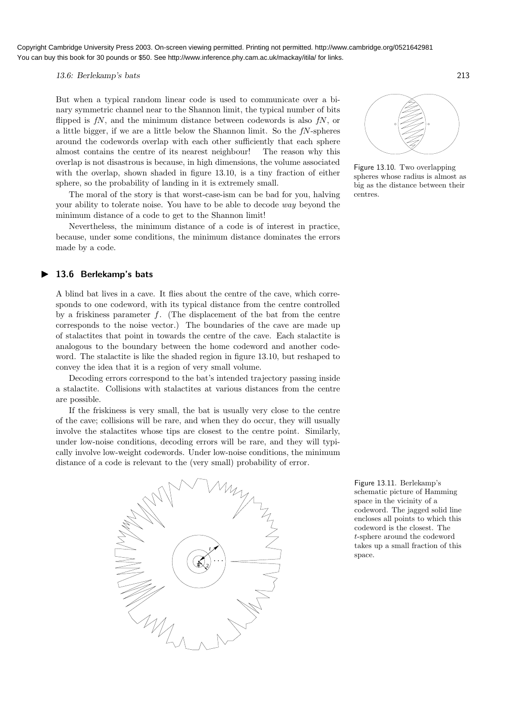13.6: Berlekamp's bats 213

But when a typical random linear code is used to communicate over a binary symmetric channel near to the Shannon limit, the typical number of bits flipped is  $fN$ , and the minimum distance between codewords is also  $fN$ , or a little bigger, if we are a little below the Shannon limit. So the  $f$ N-spheres around the codewords overlap with each other sufficiently that each sphere almost contains the centre of its nearest neighbour! The reason why this overlap is not disastrous is because, in high dimensions, the volume associated with the overlap, shown shaded in figure 13.10, is a tiny fraction of either sphere, so the probability of landing in it is extremely small.

The moral of the story is that worst-case-ism can be bad for you, halving your ability to tolerate noise. You have to be able to decode way beyond the minimum distance of a code to get to the Shannon limit!

Nevertheless, the minimum distance of a code is of interest in practice, because, under some conditions, the minimum distance dominates the errors made by a code.

### ▶ 13.6 Berlekamp's bats

A blind bat lives in a cave. It flies about the centre of the cave, which corresponds to one codeword, with its typical distance from the centre controlled by a friskiness parameter  $f$ . (The displacement of the bat from the centre corresponds to the noise vector.) The boundaries of the cave are made up of stalactites that point in towards the centre of the cave. Each stalactite is analogous to the boundary between the home codeword and another codeword. The stalactite is like the shaded region in figure 13.10, but reshaped to convey the idea that it is a region of very small volume.

Decoding errors correspond to the bat's intended trajectory passing inside a stalactite. Collisions with stalactites at various distances from the centre are possible.

If the friskiness is very small, the bat is usually very close to the centre of the cave; collisions will be rare, and when they do occur, they will usually involve the stalactites whose tips are closest to the centre point. Similarly, under low-noise conditions, decoding errors will be rare, and they will typically involve low-weight codewords. Under low-noise conditions, the minimum distance of a code is relevant to the (very small) probability of error.







Figure 13.10. Two overlapping spheres whose radius is almost as big as the distance between their centres.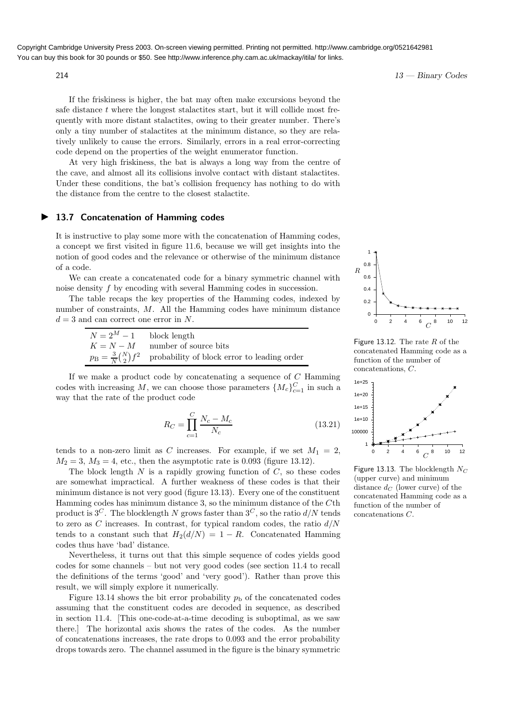$13 - \text{Binary Codes}$ 

If the friskiness is higher, the bat may often make excursions beyond the safe distance  $t$  where the longest stalactites start, but it will collide most frequently with more distant stalactites, owing to their greater number. There's only a tiny number of stalactites at the minimum distance, so they are relatively unlikely to cause the errors. Similarly, errors in a real error-correcting code depend on the properties of the weight enumerator function.

At very high friskiness, the bat is always a long way from the centre of the cave, and almost all its collisions involve contact with distant stalactites. Under these conditions, the bat's collision frequency has nothing to do with the distance from the centre to the closest stalactite.

#### ▶ 13.7 Concatenation of Hamming codes

It is instructive to play some more with the concatenation of Hamming codes, a concept we first visited in figure 11.6, because we will get insights into the notion of good codes and the relevance or otherwise of the minimum distance of a code.

We can create a concatenated code for a binary symmetric channel with noise density f by encoding with several Hamming codes in succession.

The table recaps the key properties of the Hamming codes, indexed by number of constraints, M. All the Hamming codes have minimum distance  $d = 3$  and can correct one error in N.

| $N = 2^M - 1$ | block length                                                                            |
|---------------|-----------------------------------------------------------------------------------------|
|               | $K = N - M$ number of source bits                                                       |
|               | $p_{\rm B} = \frac{3}{N} {N \choose 2} f^2$ probability of block error to leading order |

If we make a product code by concatenating a sequence of C Hamming codes with increasing M, we can choose those parameters  $\{M_c\}_{c=1}^C$  in such a way that the rate of the product code

$$
R_C = \prod_{c=1}^{C} \frac{N_c - M_c}{N_c}
$$
 (13.21)

tends to a non-zero limit as C increases. For example, if we set  $M_1 = 2$ ,  $M_2 = 3, M_3 = 4,$  etc., then the asymptotic rate is 0.093 (figure 13.12).

The block length  $N$  is a rapidly growing function of  $C$ , so these codes are somewhat impractical. A further weakness of these codes is that their minimum distance is not very good (figure 13.13). Every one of the constituent Hamming codes has minimum distance 3, so the minimum distance of the Cth product is  $3^C$ . The blocklength N grows faster than  $3^C$ , so the ratio  $d/N$  tends to zero as C increases. In contrast, for typical random codes, the ratio  $d/N$ tends to a constant such that  $H_2(d/N) = 1 - R$ . Concatenated Hamming codes thus have 'bad' distance.

Nevertheless, it turns out that this simple sequence of codes yields good codes for some channels – but not very good codes (see section 11.4 to recall the definitions of the terms 'good' and 'very good'). Rather than prove this result, we will simply explore it numerically.

Figure 13.14 shows the bit error probability  $p<sub>b</sub>$  of the concatenated codes assuming that the constituent codes are decoded in sequence, as described in section 11.4. [This one-code-at-a-time decoding is suboptimal, as we saw there.] The horizontal axis shows the rates of the codes. As the number of concatenations increases, the rate drops to 0.093 and the error probability drops towards zero. The channel assumed in the figure is the binary symmetric



Figure 13.12. The rate  $R$  of the concatenated Hamming code as a function of the number of concatenations, C.



Figure 13.13. The blocklength  $N_C$ (upper curve) and minimum distance  $d_C$  (lower curve) of the concatenated Hamming code as a function of the number of concatenations C.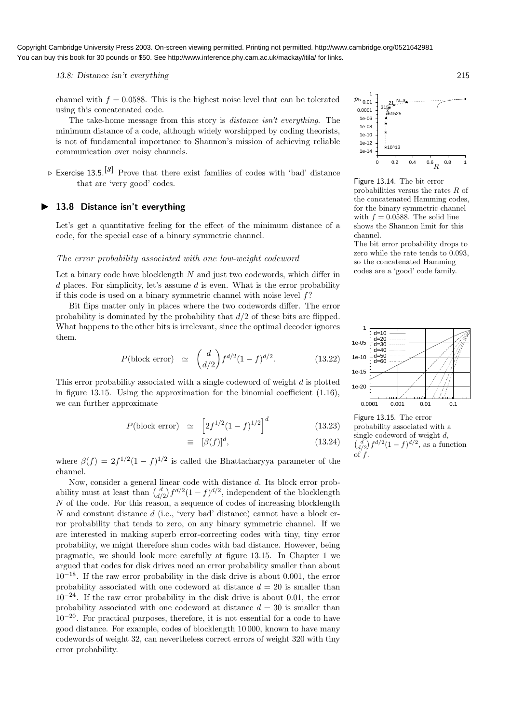13.8: Distance isn't everything 215

channel with  $f = 0.0588$ . This is the highest noise level that can be tolerated using this concatenated code.

The take-home message from this story is distance isn't everything. The minimum distance of a code, although widely worshipped by coding theorists, is not of fundamental importance to Shannon's mission of achieving reliable communication over noisy channels.

 $\triangleright$  Exercise 13.5.<sup>[3]</sup> Prove that there exist families of codes with 'bad' distance that are 'very good' codes.

▶ 13.8 Distance isn't everything

Let's get a quantitative feeling for the effect of the minimum distance of a code, for the special case of a binary symmetric channel.

#### The error probability associated with one low-weight codeword

Let a binary code have blocklength  $N$  and just two codewords, which differ in  $d$  places. For simplicity, let's assume  $d$  is even. What is the error probability if this code is used on a binary symmetric channel with noise level  $f$ ?

Bit flips matter only in places where the two codewords differ. The error probability is dominated by the probability that  $d/2$  of these bits are flipped. What happens to the other bits is irrelevant, since the optimal decoder ignores them.

$$
P(\text{block error}) \simeq {d \choose d/2} f^{d/2} (1-f)^{d/2}.
$$
 (13.22)

This error probability associated with a single codeword of weight  $d$  is plotted in figure 13.15. Using the approximation for the binomial coefficient  $(1.16)$ , we can further approximate

$$
P(\text{block error}) \simeq \left[2f^{1/2}(1-f)^{1/2}\right]^d
$$
 (13.23)

$$
\equiv \quad [\beta(f)]^d,\tag{13.24}
$$

where  $\beta(f) = 2f^{1/2}(1-f)^{1/2}$  is called the Bhattacharyya parameter of the channel.

Now, consider a general linear code with distance d. Its block error probability must at least than  $\binom{d}{d/2} f^{d/2} (1-f)^{d/2}$ , independent of the blocklength  $N$  of the code. For this reason, a sequence of codes of increasing blocklength  $N$  and constant distance  $d$  (i.e., 'very bad' distance) cannot have a block error probability that tends to zero, on any binary symmetric channel. If we are interested in making superb error-correcting codes with tiny, tiny error probability, we might therefore shun codes with bad distance. However, being pragmatic, we should look more carefully at figure 13.15. In Chapter 1 we argued that codes for disk drives need an error probability smaller than about 10−<sup>18</sup> . If the raw error probability in the disk drive is about 0.001, the error probability associated with one codeword at distance  $d = 20$  is smaller than 10−<sup>24</sup> . If the raw error probability in the disk drive is about 0.01, the error probability associated with one codeword at distance  $d = 30$  is smaller than 10−<sup>20</sup> . For practical purposes, therefore, it is not essential for a code to have good distance. For example, codes of blocklength 10 000, known to have many codewords of weight 32, can nevertheless correct errors of weight 320 with tiny error probability.



Figure 13.14. The bit error probabilities versus the rates R of the concatenated Hamming codes, for the binary symmetric channel with  $f = 0.0588$ . The solid line shows the Shannon limit for this channel.

The bit error probability drops to zero while the rate tends to 0.093, so the concatenated Hamming codes are a 'good' code family.



Figure 13.15. The error probability associated with a single codeword of weight d,  $\binom{d}{d/2} f^{d/2} (1-f)^{d/2}$ , as a function of  $f$ .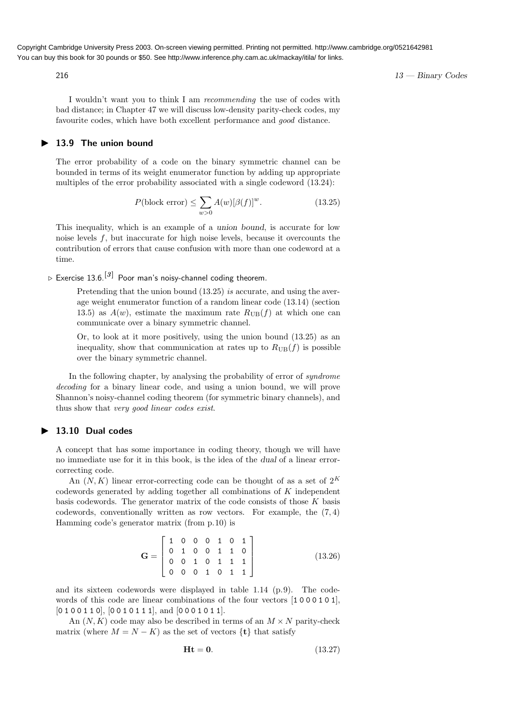$13 - \text{Binary Codes}$ 

I wouldn't want you to think I am recommending the use of codes with bad distance; in Chapter 47 we will discuss low-density parity-check codes, my favourite codes, which have both excellent performance and good distance.

#### ▶ 13.9 The union bound

The error probability of a code on the binary symmetric channel can be bounded in terms of its weight enumerator function by adding up appropriate multiples of the error probability associated with a single codeword (13.24):

$$
P(\text{block error}) \le \sum_{w>0} A(w)[\beta(f)]^w. \tag{13.25}
$$

This inequality, which is an example of a union bound, is accurate for low noise levels  $f$ , but inaccurate for high noise levels, because it overcounts the contribution of errors that cause confusion with more than one codeword at a time.

 $\triangleright$  Exercise 13.6.<sup>[3]</sup> Poor man's noisy-channel coding theorem.

Pretending that the union bound (13.25) is accurate, and using the average weight enumerator function of a random linear code (13.14) (section 13.5) as  $A(w)$ , estimate the maximum rate  $R_{UB}(f)$  at which one can communicate over a binary symmetric channel.

Or, to look at it more positively, using the union bound (13.25) as an inequality, show that communication at rates up to  $R_{UB}(f)$  is possible over the binary symmetric channel.

In the following chapter, by analysing the probability of error of *syndrome* decoding for a binary linear code, and using a union bound, we will prove Shannon's noisy-channel coding theorem (for symmetric binary channels), and thus show that very good linear codes exist.

## ▶ 13.10 Dual codes

A concept that has some importance in coding theory, though we will have no immediate use for it in this book, is the idea of the dual of a linear errorcorrecting code.

An  $(N, K)$  linear error-correcting code can be thought of as a set of  $2^K$ codewords generated by adding together all combinations of K independent basis codewords. The generator matrix of the code consists of those  $K$  basis codewords, conventionally written as row vectors. For example, the  $(7, 4)$ Hamming code's generator matrix (from p.10) is

$$
\mathbf{G} = \left[ \begin{array}{cccccc} 1 & 0 & 0 & 0 & 1 & 0 & 1 \\ 0 & 1 & 0 & 0 & 1 & 1 & 0 \\ 0 & 0 & 1 & 0 & 1 & 1 & 1 \\ 0 & 0 & 0 & 1 & 0 & 1 & 1 \end{array} \right] \tag{13.26}
$$

and its sixteen codewords were displayed in table 1.14 (p.9). The codewords of this code are linear combinations of the four vectors  $[1\ 0\ 0\ 0\ 1\ 0\ 1]$ , [0 1 0 0 1 1 0], [0 0 1 0 1 1 1], and [0 0 0 1 0 1 1].

An  $(N, K)$  code may also be described in terms of an  $M \times N$  parity-check matrix (where  $M = N - K$ ) as the set of vectors  $\{t\}$  that satisfy

$$
Ht = 0.\t(13.27)
$$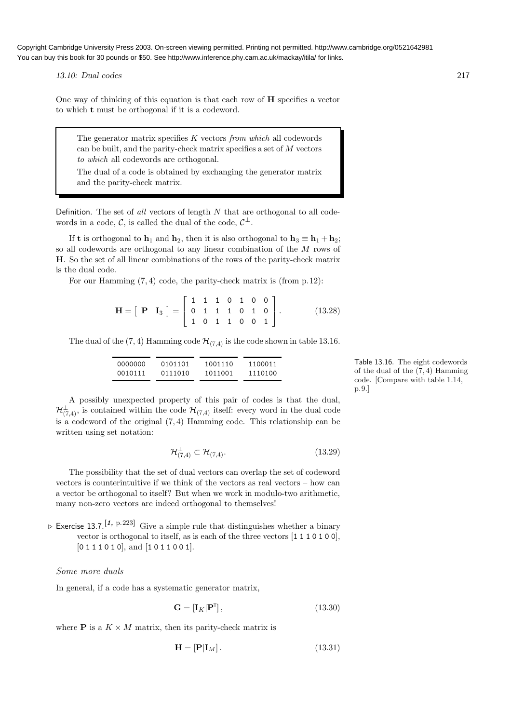13.10: Dual codes 217

One way of thinking of this equation is that each row of H specifies a vector to which t must be orthogonal if it is a codeword.

The generator matrix specifies  $K$  vectors from which all codewords can be built, and the parity-check matrix specifies a set of  $M$  vectors to which all codewords are orthogonal.

The dual of a code is obtained by exchanging the generator matrix and the parity-check matrix.

Definition. The set of all vectors of length  $N$  that are orthogonal to all codewords in a code,  $\mathcal{C}$ , is called the dual of the code,  $\mathcal{C}^{\perp}$ .

If t is orthogonal to  $h_1$  and  $h_2$ , then it is also orthogonal to  $h_3 \equiv h_1 + h_2$ ; so all codewords are orthogonal to any linear combination of the M rows of H. So the set of all linear combinations of the rows of the parity-check matrix is the dual code.

For our Hamming (7, 4) code, the parity-check matrix is (from p.12):

$$
\mathbf{H} = \begin{bmatrix} \mathbf{P} & \mathbf{I}_3 \end{bmatrix} = \begin{bmatrix} 1 & 1 & 1 & 0 & 1 & 0 & 0 \\ 0 & 1 & 1 & 1 & 0 & 1 & 0 \\ 1 & 0 & 1 & 1 & 0 & 0 & 1 \end{bmatrix}.
$$
 (13.28)

The dual of the  $(7, 4)$  Hamming code  $\mathcal{H}_{(7,4)}$  is the code shown in table 13.16.

| 0000000 | 0101101 | 1001110 | 1100011 |
|---------|---------|---------|---------|
| 0010111 | 0111010 | 1011001 | 1110100 |

A possibly unexpected property of this pair of codes is that the dual,  $\mathcal{H}_{(7,4)}^{\perp}$ , is contained within the code  $\mathcal{H}_{(7,4)}$  itself: every word in the dual code is a codeword of the original (7, 4) Hamming code. This relationship can be written using set notation:

$$
\mathcal{H}^{\perp}_{(7,4)} \subset \mathcal{H}_{(7,4)}.\tag{13.29}
$$

The possibility that the set of dual vectors can overlap the set of codeword vectors is counterintuitive if we think of the vectors as real vectors – how can a vector be orthogonal to itself? But when we work in modulo-two arithmetic, many non-zero vectors are indeed orthogonal to themselves!

 $\triangleright$  Exercise 13.7.<sup>[1, p.223]</sup> Give a simple rule that distinguishes whether a binary vector is orthogonal to itself, as is each of the three vectors [1 1 1 0 1 0 0], [0 1 1 1 0 1 0], and [1 0 1 1 0 0 1].

#### Some more duals

In general, if a code has a systematic generator matrix,

$$
\mathbf{G} = [\mathbf{I}_K | \mathbf{P}^\mathsf{T} ], \tag{13.30}
$$

where **P** is a  $K \times M$  matrix, then its parity-check matrix is

$$
\mathbf{H} = [\mathbf{P}|\mathbf{I}_M]. \tag{13.31}
$$

Table 13.16. The eight codewords of the dual of the (7, 4) Hamming code. [Compare with table 1.14, p.9.]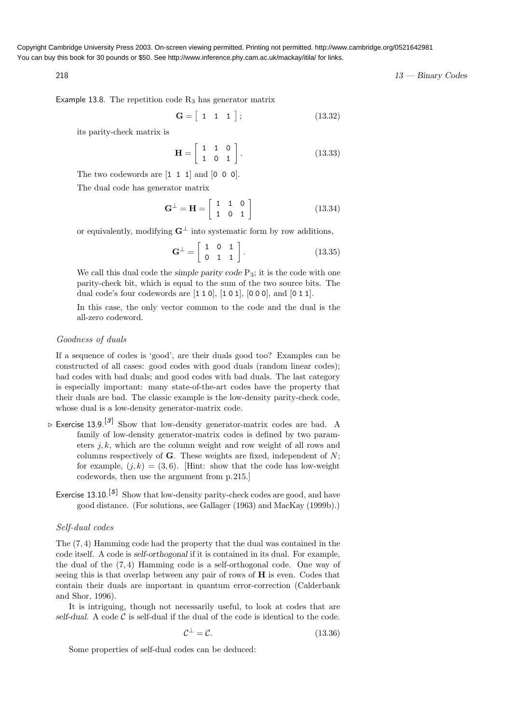$13 - \text{Binary Codes}$ 

Example 13.8. The repetition code  $R_3$  has generator matrix

$$
\mathbf{G} = \begin{bmatrix} 1 & 1 & 1 \end{bmatrix}; \tag{13.32}
$$

its parity-check matrix is

$$
\mathbf{H} = \left[ \begin{array}{ccc} 1 & 1 & 0 \\ 1 & 0 & 1 \end{array} \right].
$$
 (13.33)

The two codewords are  $\begin{bmatrix} 1 & 1 & 1 \end{bmatrix}$  and  $\begin{bmatrix} 0 & 0 & 0 \end{bmatrix}$ .

The dual code has generator matrix

$$
\mathbf{G}^{\perp} = \mathbf{H} = \left[ \begin{array}{ccc} 1 & 1 & 0 \\ 1 & 0 & 1 \end{array} \right] \tag{13.34}
$$

or equivalently, modifying  $\mathbf{G}^{\perp}$  into systematic form by row additions,

$$
\mathbf{G}^{\perp} = \left[ \begin{array}{ccc} 1 & 0 & 1 \\ 0 & 1 & 1 \end{array} \right].\tag{13.35}
$$

We call this dual code the simple parity code  $P_3$ ; it is the code with one parity-check bit, which is equal to the sum of the two source bits. The dual code's four codewords are [1 1 0], [1 0 1], [0 0 0], and [0 1 1].

In this case, the only vector common to the code and the dual is the all-zero codeword.

#### Goodness of duals

If a sequence of codes is 'good', are their duals good too? Examples can be constructed of all cases: good codes with good duals (random linear codes); bad codes with bad duals; and good codes with bad duals. The last category is especially important: many state-of-the-art codes have the property that their duals are bad. The classic example is the low-density parity-check code, whose dual is a low-density generator-matrix code.

- $\triangleright$  Exercise 13.9.<sup>[3]</sup> Show that low-density generator-matrix codes are bad. A family of low-density generator-matrix codes is defined by two parameters  $j, k$ , which are the column weight and row weight of all rows and columns respectively of  $\bf G$ . These weights are fixed, independent of  $N$ ; for example,  $(j, k) = (3, 6)$ . [Hint: show that the code has low-weight codewords, then use the argument from p.215.]
	- Exercise 13.10.<sup>[5]</sup> Show that low-density parity-check codes are good, and have good distance. (For solutions, see Gallager (1963) and MacKay (1999b).)

#### Self-dual codes

The (7, 4) Hamming code had the property that the dual was contained in the code itself. A code is self-orthogonal if it is contained in its dual. For example, the dual of the (7, 4) Hamming code is a self-orthogonal code. One way of seeing this is that overlap between any pair of rows of H is even. Codes that contain their duals are important in quantum error-correction (Calderbank and Shor, 1996).

It is intriguing, though not necessarily useful, to look at codes that are self-dual. A code  $\mathcal C$  is self-dual if the dual of the code is identical to the code.

$$
\mathcal{C}^{\perp} = \mathcal{C}.\tag{13.36}
$$

Some properties of self-dual codes can be deduced: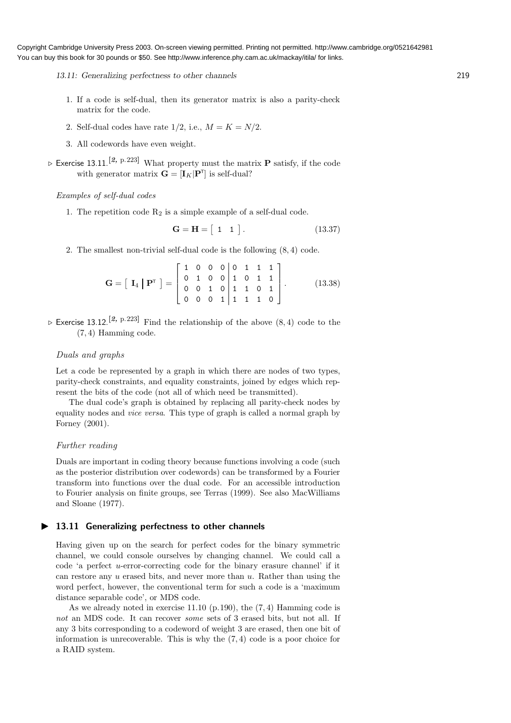- 13.11: Generalizing perfectness to other channels 219
	- 1. If a code is self-dual, then its generator matrix is also a parity-check matrix for the code.
	- 2. Self-dual codes have rate  $1/2$ , i.e.,  $M = K = N/2$ .
	- 3. All codewords have even weight.
- $\triangleright$  Exercise 13.11.<sup>[2, p.223]</sup> What property must the matrix **P** satisfy, if the code with generator matrix  $\mathbf{G} = [\mathbf{I}_K | \mathbf{P}^{\mathsf{T}}]$  is self-dual?

Examples of self-dual codes

1. The repetition code  $R_2$  is a simple example of a self-dual code.

$$
\mathbf{G} = \mathbf{H} = \begin{bmatrix} 1 & 1 \end{bmatrix} . \tag{13.37}
$$

2. The smallest non-trivial self-dual code is the following (8, 4) code.

$$
\mathbf{G} = \begin{bmatrix} \mathbf{I}_4 \end{bmatrix} \mathbf{P}^{\mathsf{T}} \end{bmatrix} = \begin{bmatrix} 1 & 0 & 0 & 0 & 0 & 1 & 1 & 1 \\ 0 & 1 & 0 & 0 & 1 & 0 & 1 & 1 \\ 0 & 0 & 1 & 0 & 1 & 1 & 1 & 0 & 1 \\ 0 & 0 & 0 & 1 & 1 & 1 & 1 & 0 \end{bmatrix} . \tag{13.38}
$$

 $\triangleright$  Exercise 13.12.<sup>[2, p.223]</sup> Find the relationship of the above (8,4) code to the (7, 4) Hamming code.

#### Duals and graphs

Let a code be represented by a graph in which there are nodes of two types, parity-check constraints, and equality constraints, joined by edges which represent the bits of the code (not all of which need be transmitted).

The dual code's graph is obtained by replacing all parity-check nodes by equality nodes and vice versa. This type of graph is called a normal graph by Forney (2001).

## Further reading

Duals are important in coding theory because functions involving a code (such as the posterior distribution over codewords) can be transformed by a Fourier transform into functions over the dual code. For an accessible introduction to Fourier analysis on finite groups, see Terras (1999). See also MacWilliams and Sloane (1977).

#### ▶ 13.11 Generalizing perfectness to other channels

Having given up on the search for perfect codes for the binary symmetric channel, we could console ourselves by changing channel. We could call a code 'a perfect u-error-correcting code for the binary erasure channel' if it can restore any  $u$  erased bits, and never more than  $u$ . Rather than using the word perfect, however, the conventional term for such a code is a 'maximum distance separable code', or MDS code.

As we already noted in exercise 11.10 (p.190), the (7, 4) Hamming code is not an MDS code. It can recover some sets of 3 erased bits, but not all. If any 3 bits corresponding to a codeword of weight 3 are erased, then one bit of information is unrecoverable. This is why the (7, 4) code is a poor choice for a RAID system.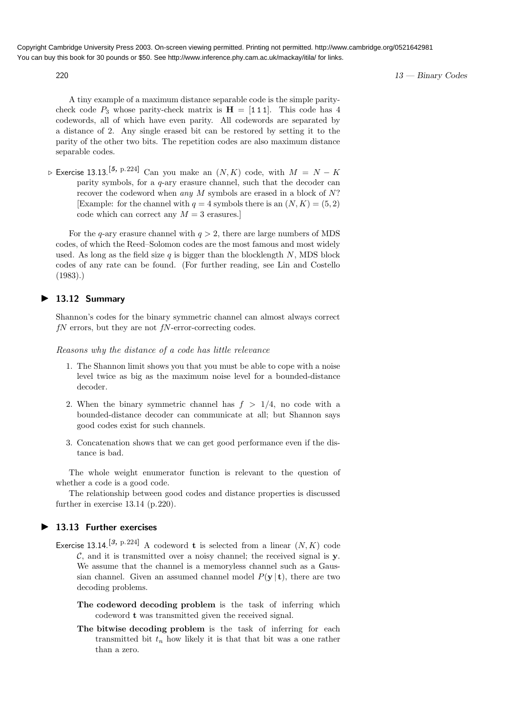$13 - \text{Binary Codes}$ 

A tiny example of a maximum distance separable code is the simple paritycheck code  $P_3$  whose parity-check matrix is  $H = \begin{bmatrix} 1 & 1 & 1 \end{bmatrix}$ . This code has 4 codewords, all of which have even parity. All codewords are separated by a distance of 2. Any single erased bit can be restored by setting it to the parity of the other two bits. The repetition codes are also maximum distance separable codes.

⊳ Exercise 13.13.<sup>[5, p.224]</sup> Can you make an  $(N, K)$  code, with  $M = N - K$ parity symbols, for a q-ary erasure channel, such that the decoder can recover the codeword when *any* M symbols are erased in a block of N? [Example: for the channel with  $q = 4$  symbols there is an  $(N, K) = (5, 2)$ ] code which can correct any  $M = 3$  erasures.

For the q-ary erasure channel with  $q > 2$ , there are large numbers of MDS codes, of which the Reed–Solomon codes are the most famous and most widely used. As long as the field size q is bigger than the blocklength  $N$ , MDS block codes of any rate can be found. (For further reading, see Lin and Costello (1983).)

# ▶ 13.12 Summary

Shannon's codes for the binary symmetric channel can almost always correct  $f_N$  errors, but they are not  $f_N$ -error-correcting codes.

Reasons why the distance of a code has little relevance

- 1. The Shannon limit shows you that you must be able to cope with a noise level twice as big as the maximum noise level for a bounded-distance decoder.
- 2. When the binary symmetric channel has  $f > 1/4$ , no code with a bounded-distance decoder can communicate at all; but Shannon says good codes exist for such channels.
- 3. Concatenation shows that we can get good performance even if the distance is bad.

The whole weight enumerator function is relevant to the question of whether a code is a good code.

The relationship between good codes and distance properties is discussed further in exercise 13.14 (p.220).

# 13.13 Further exercises

- Exercise 13.14.<sup>[3, p.224]</sup> A codeword **t** is selected from a linear  $(N, K)$  code  $\mathcal{C}$ , and it is transmitted over a noisy channel; the received signal is y. We assume that the channel is a memoryless channel such as a Gaussian channel. Given an assumed channel model  $P(y | t)$ , there are two decoding problems.
	- The codeword decoding problem is the task of inferring which codeword t was transmitted given the received signal.
	- The bitwise decoding problem is the task of inferring for each transmitted bit  $t_n$  how likely it is that that bit was a one rather than a zero.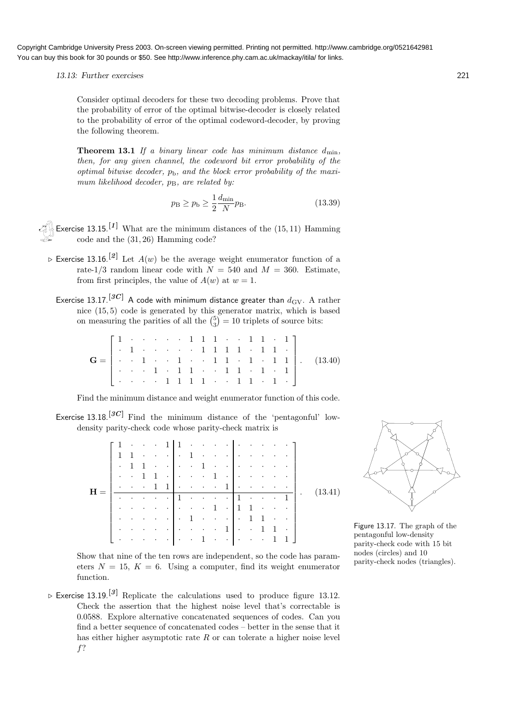13.13: Further exercises 221

Consider optimal decoders for these two decoding problems. Prove that the probability of error of the optimal bitwise-decoder is closely related to the probability of error of the optimal codeword-decoder, by proving the following theorem.

**Theorem 13.1** If a binary linear code has minimum distance  $d_{\min}$ , then, for any given channel, the codeword bit error probability of the optimal bitwise decoder,  $p_b$ , and the block error probability of the maximum likelihood decoder,  $p_B$ , are related by:

$$
p_{\rm B} \ge p_{\rm b} \ge \frac{1}{2} \frac{d_{\rm min}}{N} p_{\rm B}.\tag{13.39}
$$

Exercise 13.15.<sup>[1]</sup> What are the minimum distances of the  $(15, 11)$  Hamming code and the (31, 26) Hamming code?

- $\triangleright$  Exercise 13.16.<sup>[2]</sup> Let  $A(w)$  be the average weight enumerator function of a rate-1/3 random linear code with  $N = 540$  and  $M = 360$ . Estimate, from first principles, the value of  $A(w)$  at  $w = 1$ .
	- Exercise 13.17.<sup>[3C]</sup> A code with minimum distance greater than  $d_{\rm GV}$ . A rather nice (15, 5) code is generated by this generator matrix, which is based on measuring the parities of all the  $\binom{5}{3} = 10$  triplets of source bits:

G = 1 · · · · · 1 1 1 · · 1 1 · 1 · 1 · · · · · 1 1 1 1 · 1 1 · · · 1 · · 1 · · 1 1 · 1 · 1 1 · · · 1 · 1 1 · · 1 1 · 1 · 1 · · · · 1 1 1 1 · · 1 1 · 1 · . (13.40)

Find the minimum distance and weight enumerator function of this code.

Exercise 13.18.<sup>[3C]</sup> Find the minimum distance of the 'pentagonful' lowdensity parity-check code whose parity-check matrix is

| $H =$ | $\mathbf{1}$<br>$\blacksquare$ .<br>$\bullet$<br>$\blacksquare$ . | $\blacksquare$ .<br>$\overline{1}$<br>$\sim$ 10 $\pm$<br>$\sim$ $\sim$ | $\sim$ $\sim$<br>$\bullet$<br>- 1<br>$\cdots$ 1 | $\sim$<br>$\sim$<br>$\mathbf{1}$  | $\cdots$ 111 $\cdots$<br>$\cdot$ $\cdot$ 1<br>and the state of the state of the<br>$\cdot$ .<br>-1 | $\mathbf{I} = \mathbf{I}$                     | $\sim$                                                 | $\cdot$<br>$\blacksquare$<br>$\cdots$ 1 $\cdots$<br>$\sim 10$ | $\sim$ $\sim$<br>$\bullet$<br>$\bullet$<br>$\sim$ $\sim$ | .<br>$\sim$<br>$\sim$<br>$\overline{1}$                                                  | $\bullet$<br>$\cdot$<br>$\blacksquare$<br>$\blacksquare$ | ٠<br>$\cdot$<br>$\bullet$                                    | ٠                                          | $\sim$<br>٠                                                | ٠<br>٠                                         |           |         |  |
|-------|-------------------------------------------------------------------|------------------------------------------------------------------------|-------------------------------------------------|-----------------------------------|----------------------------------------------------------------------------------------------------|-----------------------------------------------|--------------------------------------------------------|---------------------------------------------------------------|----------------------------------------------------------|------------------------------------------------------------------------------------------|----------------------------------------------------------|--------------------------------------------------------------|--------------------------------------------|------------------------------------------------------------|------------------------------------------------|-----------|---------|--|
|       | $\bullet$<br>$\cdot$<br>$\cdot$<br>٠                              | $\bullet$<br>$\bullet$                                                 | $\cdot$                                         | $\ddot{\phantom{0}}$<br>$\bullet$ | $\bullet$<br>$\bullet$<br>$\bullet$<br>$\bullet$<br>$\bullet$                                      | (1)<br>$\cdot$<br>$\sim$<br>$\cdot$<br>$\sim$ | $\sim$<br>$\sim$<br>$-1$<br>$\sim$ $\sim$<br>$\bullet$ | $\sim$ $\sim$<br>$\sim$<br>$\sim$                             | $\bullet$<br>$\bullet$<br>$\mathcal{A}$                  | $\cdots$ $\cdots$ 1<br>$1 \cdot 11$<br>$\cdots$ $\cdots$ 1<br>$-1$ .<br>$\blacksquare$ . | $\blacksquare$                                           | $\ddot{\phantom{1}}$<br>$\mathbf{1}$<br>$\cdots$ 1<br>$\sim$ | $\cdot$<br>$\overline{1}$<br>$\sim$ $\sim$ | $\bullet$<br>$\bullet$<br>$\overline{1}$<br>$\overline{1}$ | $\cdots$ 1<br>$\bullet$<br>$\bullet$<br>$\sim$ | $\bullet$ | (13.41) |  |



Figure 13.17. The graph of the pentagonful low-density parity-check code with 15 bit nodes (circles) and 10 parity-check nodes (triangles).

Show that nine of the ten rows are independent, so the code has parameters  $N = 15$ ,  $K = 6$ . Using a computer, find its weight enumerator function.

 $\triangleright$  Exercise 13.19.<sup>[3]</sup> Replicate the calculations used to produce figure 13.12. Check the assertion that the highest noise level that's correctable is 0.0588. Explore alternative concatenated sequences of codes. Can you find a better sequence of concatenated codes – better in the sense that it has either higher asymptotic rate  $R$  or can tolerate a higher noise level f?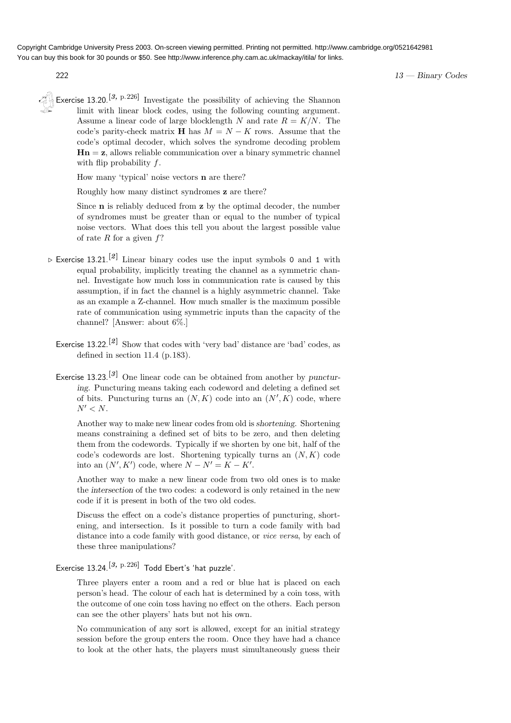Exercise 13.20.<sup>[3, p.226]</sup> Investigate the possibility of achieving the Shannon limit with linear block codes, using the following counting argument. Assume a linear code of large blocklength N and rate  $R = K/N$ . The code's parity-check matrix **H** has  $M = N - K$  rows. Assume that the code's optimal decoder, which solves the syndrome decoding problem  $\mathbf{Hn} = \mathbf{z}$ , allows reliable communication over a binary symmetric channel with flip probability  $f$ .

How many 'typical' noise vectors n are there?

Roughly how many distinct syndromes z are there?

Since **n** is reliably deduced from **z** by the optimal decoder, the number of syndromes must be greater than or equal to the number of typical noise vectors. What does this tell you about the largest possible value of rate R for a given  $f$ ?

- $\triangleright$  Exercise 13.21.<sup>[2]</sup> Linear binary codes use the input symbols 0 and 1 with equal probability, implicitly treating the channel as a symmetric channel. Investigate how much loss in communication rate is caused by this assumption, if in fact the channel is a highly asymmetric channel. Take as an example a Z-channel. How much smaller is the maximum possible rate of communication using symmetric inputs than the capacity of the channel? [Answer: about 6%.]
	- Exercise 13.22.<sup>[2]</sup> Show that codes with 'very bad' distance are 'bad' codes, as defined in section 11.4 (p.183).
	- Exercise 13.23.<sup>[3]</sup> One linear code can be obtained from another by puncturing. Puncturing means taking each codeword and deleting a defined set of bits. Puncturing turns an  $(N, K)$  code into an  $(N', K)$  code, where  $N' < N$ .

Another way to make new linear codes from old is shortening. Shortening means constraining a defined set of bits to be zero, and then deleting them from the codewords. Typically if we shorten by one bit, half of the code's codewords are lost. Shortening typically turns an  $(N, K)$  code into an  $(N', K')$  code, where  $N - N' = K - K'$ .

Another way to make a new linear code from two old ones is to make the intersection of the two codes: a codeword is only retained in the new code if it is present in both of the two old codes.

Discuss the effect on a code's distance properties of puncturing, shortening, and intersection. Is it possible to turn a code family with bad distance into a code family with good distance, or *vice versa*, by each of these three manipulations?

Exercise  $13.24$ .<sup>[3, p.226]</sup> Todd Ebert's 'hat puzzle'.

Three players enter a room and a red or blue hat is placed on each person's head. The colour of each hat is determined by a coin toss, with the outcome of one coin toss having no effect on the others. Each person can see the other players' hats but not his own.

No communication of any sort is allowed, except for an initial strategy session before the group enters the room. Once they have had a chance to look at the other hats, the players must simultaneously guess their

 $13$  — Binary Codes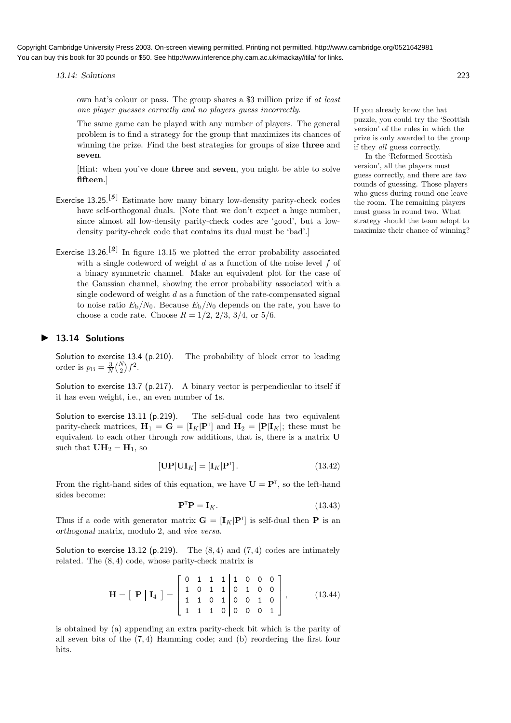13.14: Solutions 223

own hat's colour or pass. The group shares a \$3 million prize if at least one player guesses correctly and no players guess incorrectly. If you already know the hat

The same game can be played with any number of players. The general problem is to find a strategy for the group that maximizes its chances of winning the prize. Find the best strategies for groups of size three and seven.

[Hint: when you've done three and seven, you might be able to solve fifteen.]

- Exercise 13.25.<sup>[5]</sup> Estimate how many binary low-density parity-check codes have self-orthogonal duals. [Note that we don't expect a huge number, since almost all low-density parity-check codes are 'good', but a lowdensity parity-check code that contains its dual must be 'bad'.]
- Exercise 13.26.<sup>[2]</sup> In figure 13.15 we plotted the error probability associated with a single codeword of weight  $d$  as a function of the noise level  $f$  of a binary symmetric channel. Make an equivalent plot for the case of the Gaussian channel, showing the error probability associated with a single codeword of weight  $d$  as a function of the rate-compensated signal to noise ratio  $E_{\rm b}/N_0$ . Because  $E_{\rm b}/N_0$  depends on the rate, you have to choose a code rate. Choose  $R = 1/2, 2/3, 3/4,$  or 5/6.

#### ▶ 13.14 Solutions

The probability of block error to leading. order is  $p_{\text{B}} = \frac{3}{N} {N \choose 2} f^2$ .

Solution to exercise 13.7 (p.217). A binary vector is perpendicular to itself if it has even weight, i.e., an even number of 1s.

Solution to exercise 13.11 (p.219). The self-dual code has two equivalent parity-check matrices,  $\mathbf{H}_1 = \mathbf{G} = [\mathbf{I}_K | \mathbf{P}^{\mathsf{T}}]$  and  $\mathbf{H}_2 = [\mathbf{P} | \mathbf{I}_K]$ ; these must be equivalent to each other through row additions, that is, there is a matrix U such that  $\mathbf{U}\mathbf{H}_2 = \mathbf{H}_1$ , so

$$
[\mathbf{UP}|\mathbf{UI}_K] = [\mathbf{I}_K|\mathbf{P}^\mathsf{T}]. \tag{13.42}
$$

From the right-hand sides of this equation, we have  $\mathbf{U} = \mathbf{P}^{\mathsf{T}}$ , so the left-hand sides become:

$$
\mathbf{P}^{\mathsf{T}}\mathbf{P} = \mathbf{I}_K. \tag{13.43}
$$

Thus if a code with generator matrix  $\mathbf{G} = [\mathbf{I}_K | \mathbf{P}^{\mathsf{T}}]$  is self-dual then **P** is an orthogonal matrix, modulo 2, and vice versa.

Solution to exercise 13.12 (p.219). The  $(8, 4)$  and  $(7, 4)$  codes are intimately related. The (8, 4) code, whose parity-check matrix is

$$
\mathbf{H} = \begin{bmatrix} \mathbf{P} & \mathbf{I}_4 \end{bmatrix} = \begin{bmatrix} 0 & 1 & 1 & 1 & 1 & 0 & 0 & 0 \\ 1 & 0 & 1 & 1 & 0 & 1 & 0 & 0 \\ 1 & 1 & 0 & 1 & 0 & 0 & 1 & 0 \\ 1 & 1 & 1 & 0 & 0 & 0 & 0 & 1 \end{bmatrix}, \quad (13.44)
$$

is obtained by (a) appending an extra parity-check bit which is the parity of all seven bits of the (7, 4) Hamming code; and (b) reordering the first four bits.

puzzle, you could try the 'Scottish version' of the rules in which the prize is only awarded to the group if they all guess correctly.

In the 'Reformed Scottish version', all the players must guess correctly, and there are two rounds of guessing. Those players who guess during round one leave the room. The remaining players must guess in round two. What strategy should the team adopt to maximize their chance of winning?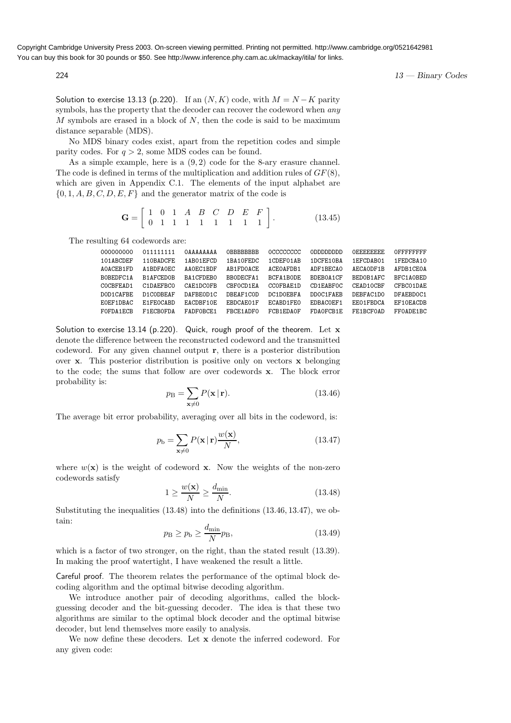$13 - \text{Binary Codes}$ 

Solution to exercise 13.13 (p.220). If an  $(N, K)$  code, with  $M = N - K$  parity symbols, has the property that the decoder can recover the codeword when *any* M symbols are erased in a block of N, then the code is said to be maximum distance separable (MDS).

No MDS binary codes exist, apart from the repetition codes and simple parity codes. For  $q > 2$ , some MDS codes can be found.

As a simple example, here is a  $(9, 2)$  code for the 8-ary erasure channel. The code is defined in terms of the multiplication and addition rules of  $GF(8)$ , which are given in Appendix C.1. The elements of the input alphabet are  $\{0, 1, A, B, C, D, E, F\}$  and the generator matrix of the code is

$$
\mathbf{G} = \left[ \begin{array}{cccccc} 1 & 0 & 1 & A & B & C & D & E & F \\ 0 & 1 & 1 & 1 & 1 & 1 & 1 & 1 & 1 \end{array} \right].
$$
 (13.45)

The resulting 64 codewords are:

| 000000000 | 011111111 | <b>OAAAAAAAA</b> | OBBBBBBBB | OCCCCCCCC | חתחתחתחמ  | OFFEEEFFE | OFFFFFFFF |
|-----------|-----------|------------------|-----------|-----------|-----------|-----------|-----------|
| 101ABCDEF | 110BADCFE | 1AB01EFCD        | 1BA10FEDC | 1CDEF01AB | 1DCFE10BA | 1EFCDAB01 | 1FEDCBA10 |
| AOACEB1FD | A1BDFA0EC | AAOEC1BDF        | AB1FD0ACE | ACEOAFDB1 | ADF1BECA0 | AECAODE1B | AFDB1CEOA |
| BOBEDFC1A | B1AFCEDOB | BA1CFDEBO        | BBODECFA1 | BCFA1BODE | BDEBOA1CF | BEDOB1AFC | BFC1A0BED |
| COCBFEAD1 | C1DAEFBCO | CAE1DCOFB        | CBFOCD1EA | CCOFBAE1D | CD1EABFOC | CEAD10CBF | CFBC01DAE |
| DOD1CAFBE | D1CODBEAF | DAFBEOD1C        | DBEAF1COD | DC1DOEBEA | DDOC1FAEB | DEBFAC1DO | DFAEBD0C1 |
| EOEF1DBAC | E1FE0CABD | EACDBF10E        | EBDCAE01F | ECABD1FEO | EDBACOEF1 | EE01FBDCA | EF10EACDB |
| FOFDA1ECB | F1ECBOFDA | FADFORCE1        | FRCE1ADFO | FCB1EDA0F | FDAOFCR1E | FE1BCFOAD | FFOADE1BC |

Solution to exercise 13.14 (p.220). Quick, rough proof of the theorem. Let  $x$ denote the difference between the reconstructed codeword and the transmitted codeword. For any given channel output r, there is a posterior distribution over x. This posterior distribution is positive only on vectors x belonging to the code; the sums that follow are over codewords x. The block error probability is:

$$
p_{\rm B} = \sum_{\mathbf{x} \neq 0} P(\mathbf{x} \mid \mathbf{r}).\tag{13.46}
$$

The average bit error probability, averaging over all bits in the codeword, is:

$$
p_{\rm b} = \sum_{\mathbf{x} \neq 0} P(\mathbf{x} \mid \mathbf{r}) \frac{w(\mathbf{x})}{N},\tag{13.47}
$$

where  $w(\mathbf{x})$  is the weight of codeword x. Now the weights of the non-zero codewords satisfy

$$
1 \ge \frac{w(\mathbf{x})}{N} \ge \frac{d_{\min}}{N}.\tag{13.48}
$$

Substituting the inequalities (13.48) into the definitions (13.46, 13.47), we obtain:

$$
p_{\rm B} \ge p_{\rm b} \ge \frac{d_{\rm min}}{N} p_{\rm B},\tag{13.49}
$$

which is a factor of two stronger, on the right, than the stated result (13.39). In making the proof watertight, I have weakened the result a little.

Careful proof. The theorem relates the performance of the optimal block decoding algorithm and the optimal bitwise decoding algorithm.

We introduce another pair of decoding algorithms, called the blockguessing decoder and the bit-guessing decoder. The idea is that these two algorithms are similar to the optimal block decoder and the optimal bitwise decoder, but lend themselves more easily to analysis.

We now define these decoders. Let **x** denote the inferred codeword. For any given code: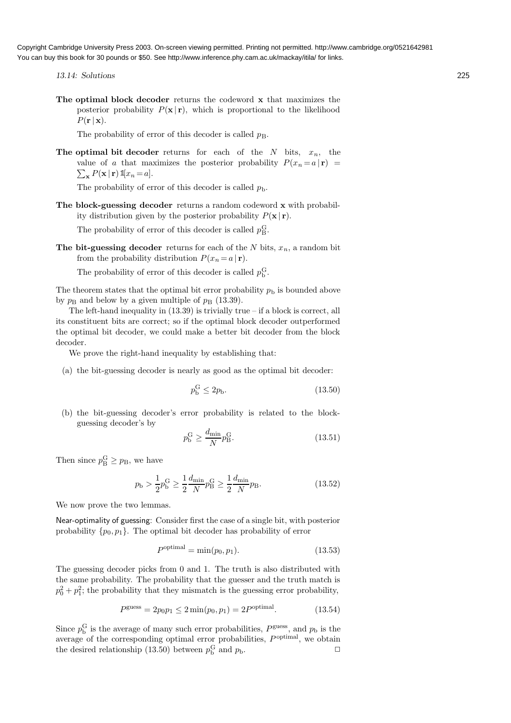13.14: Solutions 225

The optimal block decoder returns the codeword x that maximizes the posterior probability  $P(x | r)$ , which is proportional to the likelihood  $P(\mathbf{r} \mid \mathbf{x}).$ 

The probability of error of this decoder is called  $p_B$ .

The optimal bit decoder returns for each of the  $N$  bits,  $x_n$ , the value of a that maximizes the posterior probability  $P(x_n = a | r)$  $\mathbf{F}[\mathbf{x} | \mathbf{r}) \mathbb{1}[x_n = a].$ 

The probability of error of this decoder is called  $p_{\rm b}$ .

The block-guessing decoder returns a random codeword x with probability distribution given by the posterior probability  $P(\mathbf{x} | \mathbf{r})$ .

The probability of error of this decoder is called  $p_B^G$ .

The bit-guessing decoder returns for each of the N bits,  $x_n$ , a random bit from the probability distribution  $P(x_n = a | \mathbf{r}).$ 

The probability of error of this decoder is called  $p_{\text{b}}^{\text{G}}$ .

The theorem states that the optimal bit error probability  $p<sub>b</sub>$  is bounded above by  $p_B$  and below by a given multiple of  $p_B$  (13.39).

The left-hand inequality in  $(13.39)$  is trivially true – if a block is correct, all its constituent bits are correct; so if the optimal block decoder outperformed the optimal bit decoder, we could make a better bit decoder from the block decoder.

We prove the right-hand inequality by establishing that:

(a) the bit-guessing decoder is nearly as good as the optimal bit decoder:

$$
p_{\mathrm{b}}^{\mathrm{G}} \le 2p_{\mathrm{b}}.\tag{13.50}
$$

(b) the bit-guessing decoder's error probability is related to the blockguessing decoder's by

$$
p_{\rm b}^{\rm G} \ge \frac{d_{\rm min}}{N} p_{\rm B}^{\rm G}.\tag{13.51}
$$

Then since  $p_{\text{B}}^{\text{G}} \ge p_{\text{B}}$ , we have

$$
p_{\rm b} > \frac{1}{2} p_{\rm b}^{\rm G} \ge \frac{1}{2} \frac{d_{\rm min}}{N} p_{\rm B}^{\rm G} \ge \frac{1}{2} \frac{d_{\rm min}}{N} p_{\rm B}.
$$
 (13.52)

We now prove the two lemmas.

Near-optimality of guessing: Consider first the case of a single bit, with posterior probability  $\{p_0, p_1\}$ . The optimal bit decoder has probability of error

$$
P^{\text{optimal}} = \min(p_0, p_1). \tag{13.53}
$$

The guessing decoder picks from 0 and 1. The truth is also distributed with the same probability. The probability that the guesser and the truth match is  $p_0^2 + p_1^2$ ; the probability that they mismatch is the guessing error probability,

$$
P^{\text{guess}} = 2p_0 p_1 \le 2 \min(p_0, p_1) = 2P^{\text{optimal}}.\tag{13.54}
$$

Since  $p_b^G$  is the average of many such error probabilities,  $P_{\text{guess}}^{\text{guess}}$ , and  $p_b$  is the average of the corresponding optimal error probabilities,  $P^{\text{optimal}}$ , we obtain the desired relationship (13.50) between  $p_{\rm b}^{\rm G}$  and  $p_{\rm b}$ .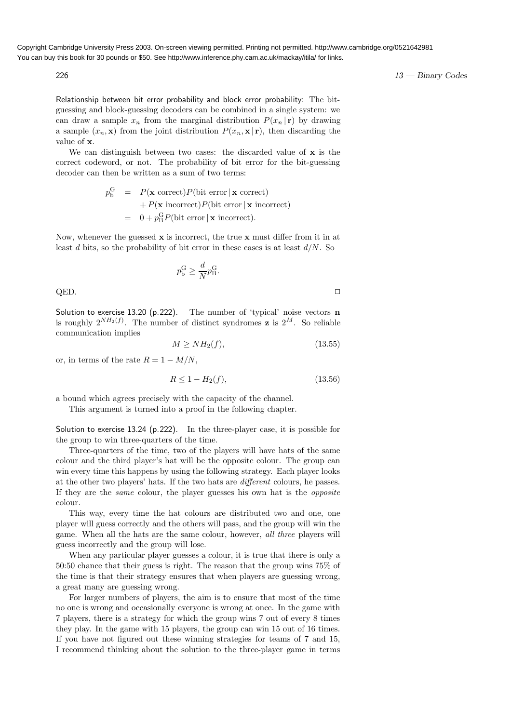$13 - \text{Binary Codes}$ 

Relationship between bit error probability and block error probability: The bitguessing and block-guessing decoders can be combined in a single system: we can draw a sample  $x_n$  from the marginal distribution  $P(x_n | r)$  by drawing a sample  $(x_n, \mathbf{x})$  from the joint distribution  $P(x_n, \mathbf{x} | \mathbf{r})$ , then discarding the value of x.

We can distinguish between two cases: the discarded value of x is the correct codeword, or not. The probability of bit error for the bit-guessing decoder can then be written as a sum of two terms:

$$
p_{\text{b}}^{\text{G}} = P(\mathbf{x} \text{ correct}) P(\text{bit error} | \mathbf{x} \text{ correct})
$$

$$
+ P(\mathbf{x} \text{ incorrect}) P(\text{bit error} | \mathbf{x} \text{ incorrect})
$$

$$
= 0 + p_{\text{B}}^{\text{G}} P(\text{bit error} | \mathbf{x} \text{ incorrect}).
$$

Now, whenever the guessed  $x$  is incorrect, the true  $x$  must differ from it in at least d bits, so the probability of bit error in these cases is at least  $d/N$ . So

$$
p_{\mathrm{b}}^{\mathrm{G}} \ge \frac{d}{N} p_{\mathrm{B}}^{\mathrm{G}}.
$$

QED.  $\Box$ 

Solution to exercise 13.20 (p.222). The number of 'typical' noise vectors **n** is roughly  $2^{NH_2(f)}$ . The number of distinct syndromes **z** is  $2^M$ . So reliable communication implies

$$
M \ge NH_2(f),\tag{13.55}
$$

or, in terms of the rate  $R = 1 - M/N$ ,

$$
R \le 1 - H_2(f), \tag{13.56}
$$

a bound which agrees precisely with the capacity of the channel.

This argument is turned into a proof in the following chapter.

Solution to exercise 13.24 (p.222). In the three-player case, it is possible for the group to win three-quarters of the time.

Three-quarters of the time, two of the players will have hats of the same colour and the third player's hat will be the opposite colour. The group can win every time this happens by using the following strategy. Each player looks at the other two players' hats. If the two hats are different colours, he passes. If they are the same colour, the player guesses his own hat is the opposite colour.

This way, every time the hat colours are distributed two and one, one player will guess correctly and the others will pass, and the group will win the game. When all the hats are the same colour, however, all three players will guess incorrectly and the group will lose.

When any particular player guesses a colour, it is true that there is only a 50:50 chance that their guess is right. The reason that the group wins 75% of the time is that their strategy ensures that when players are guessing wrong, a great many are guessing wrong.

For larger numbers of players, the aim is to ensure that most of the time no one is wrong and occasionally everyone is wrong at once. In the game with 7 players, there is a strategy for which the group wins 7 out of every 8 times they play. In the game with 15 players, the group can win 15 out of 16 times. If you have not figured out these winning strategies for teams of 7 and 15, I recommend thinking about the solution to the three-player game in terms